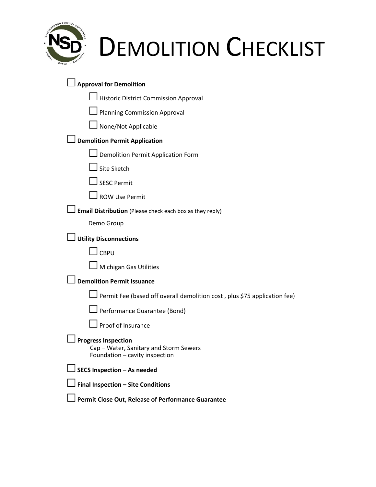

# DEMOLITION CHECKLIST

| <b>Approval for Demolition</b>                                                                         |  |  |
|--------------------------------------------------------------------------------------------------------|--|--|
| <b>Historic District Commission Approval</b>                                                           |  |  |
| <b>Planning Commission Approval</b>                                                                    |  |  |
| None/Not Applicable                                                                                    |  |  |
| <b>Demolition Permit Application</b>                                                                   |  |  |
| <b>Demolition Permit Application Form</b>                                                              |  |  |
| Site Sketch                                                                                            |  |  |
| <b>SESC Permit</b>                                                                                     |  |  |
| <b>ROW Use Permit</b>                                                                                  |  |  |
| Email Distribution (Please check each box as they reply)                                               |  |  |
| Demo Group                                                                                             |  |  |
| <b>Utility Disconnections</b>                                                                          |  |  |
| <b>CBPU</b>                                                                                            |  |  |
| <b>Michigan Gas Utilities</b>                                                                          |  |  |
| <b>Demolition Permit Issuance</b>                                                                      |  |  |
| Permit Fee (based off overall demolition cost, plus \$75 application fee)                              |  |  |
| Performance Guarantee (Bond)                                                                           |  |  |
| Proof of Insurance                                                                                     |  |  |
| <b>Progress Inspection</b><br>Cap – Water, Sanitary and Storm Sewers<br>Foundation - cavity inspection |  |  |
| SECS Inspection - As needed                                                                            |  |  |
| Final Inspection - Site Conditions                                                                     |  |  |
| Permit Close Out, Release of Performance Guarantee                                                     |  |  |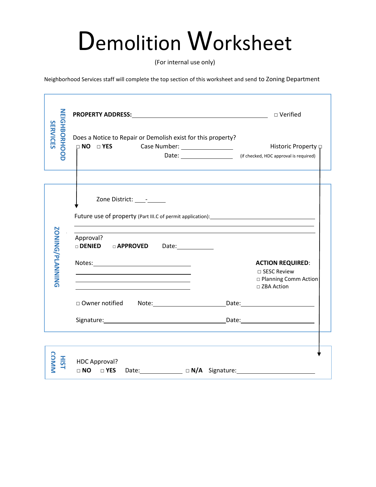## Demolition Worksheet

(For internal use only)

Neighborhood Services staff will complete the top section of this worksheet and send to Zoning Department

|                                        | <b>PROPERTY ADDRESS:</b> The contract of the contract of the contract of the contract of the contract of the contract of the contract of the contract of the contract of the contract of the contract of the contract of the contra | □ Verified                                                               |
|----------------------------------------|-------------------------------------------------------------------------------------------------------------------------------------------------------------------------------------------------------------------------------------|--------------------------------------------------------------------------|
| <b>NEIGHBORHOOD</b><br><b>SERVICES</b> | Does a Notice to Repair or Demolish exist for this property?                                                                                                                                                                        | Historic Property p<br>Date: [15] (if checked, HDC approval is required) |
|                                        | Zone District: ________<br>Approval?                                                                                                                                                                                                |                                                                          |
| <b>ZONING/PLANINGS</b>                 | DENIED DAPPROVED Date:                                                                                                                                                                                                              | <b>ACTION REQUIRED:</b><br>□ SESC Review                                 |
|                                        | □ Owner notified                                                                                                                                                                                                                    | □ Planning Comm Action<br>□ ZBA Action                                   |
|                                        |                                                                                                                                                                                                                                     |                                                                          |
| <b>COMMN</b><br>HIST                   | HDC Approval?<br>□ NO □ YES Date: ____________ □ N/A Signature: ________________________________                                                                                                                                    |                                                                          |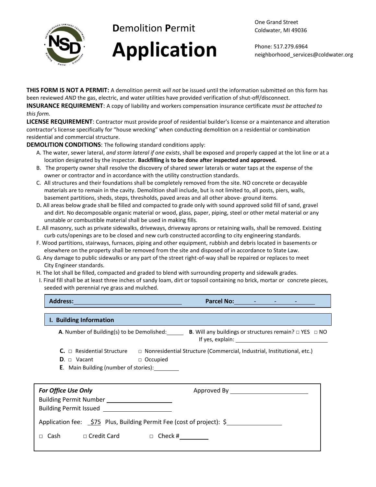

## **D**emolition **P**ermit **Application**

Phone: 517.279.6964 neighborhood\_services@coldwater.org

**THIS FORM IS NOT A PERMIT:** A demolition permit *will not* be issued until the information submitted on this form has been reviewed *AND* the gas, electric, and water utilities have provided verification of shut-off/disconnect. **INSURANCE REQUIREMENT**: A copy of liability and workers compensation insurance certificate *must be attached to* 

*this form.* 

**LICENSE REQUIREMENT**: Contractor must provide proof of residential builder's license or a maintenance and alteration contractor's license specifically for "house wrecking" when conducting demolition on a residential or combination residential and commercial structure.

**DEMOLITION CONDITIONS**: The following standard conditions apply:

- A. The water, sewer lateral, *and storm lateral if one exists*, shall be exposed and properly capped at the lot line or at a location designated by the inspector. **Backfilling is to be done after inspected and approved.**
- B. The property owner shall resolve the discovery of shared sewer laterals or water taps at the expense of the owner or contractor and in accordance with the utility construction standards.
- C. All structures and their foundations shall be completely removed from the site. NO concrete or decayable materials are to remain in the cavity. Demolition shall include, but is not limited to, all posts, piers, walls, basement partitions, sheds, steps, thresholds, paved areas and all other above- ground items.
- D**.** All areas below grade shall be filled and compacted to grade only with sound approved solid fill of sand, gravel and dirt. No decomposable organic material or wood, glass, paper, piping, steel or other metal material or any unstable or combustible material shall be used in making fills.
- E. All masonry, such as private sidewalks, driveways, driveway aprons or retaining walls, shall be removed. Existing curb cuts/openings are to be closed and new curb constructed according to city engineering standards.
- F. Wood partitions, stairways, furnaces, piping and other equipment, rubbish and debris located in basements or elsewhere on the property shall be removed from the site and disposed of in accordance to State Law.
- G. Any damage to public sidewalks or any part of the street right-of-way shall be repaired or replaces to meet City Engineer standards.
- H. The lot shall be filled, compacted and graded to blend with surrounding property and sidewalk grades.
- I. Final fill shall be at least three inches of sandy loam, dirt or topsoil containing no brick, mortar or concrete pieces, seeded with perennial rye grass and mulched.

| <b>Address:</b>                            | Parcel No: The Contract of the Contract of the Contract of the Contract of the Contract of the Contract of the                                                                             |
|--------------------------------------------|--------------------------------------------------------------------------------------------------------------------------------------------------------------------------------------------|
| I. Building Information                    |                                                                                                                                                                                            |
| A. Number of Building(s) to be Demolished: | <b>B.</b> Will any buildings or structures remain? $\Box$ YES $\Box$ NO<br>If yes, explain: The same state of the state of the state of the state of the state of the state of the state o |
| $C_{\cdot}$ $\sqcap$ Residential Structure | □ Nonresidential Structure (Commercial, Industrial, Institutional, etc.)                                                                                                                   |
| Vacant<br>$D_{\cdot}$ $\Box$               | $\Box$ Occupied                                                                                                                                                                            |

**E**. Main Building (number of stories):

| <b>For Office Use Only</b>                                            | <b>Building Permit Number</b><br><b>Building Permit Issued Example 20</b> |            |  |
|-----------------------------------------------------------------------|---------------------------------------------------------------------------|------------|--|
| Application fee: \$75 Plus, Building Permit Fee (cost of project): \$ |                                                                           |            |  |
| Cash                                                                  | $\sqcap$ Credit Card                                                      | Check $\#$ |  |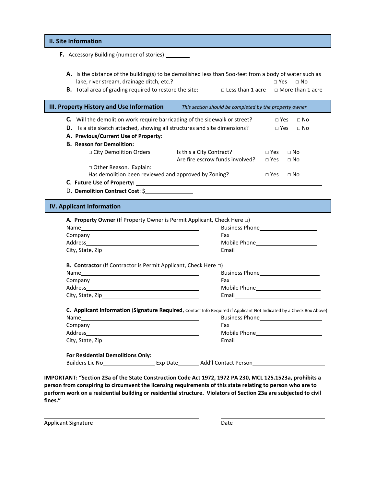| F. Accessory Building (number of stories):                                   |                                                                                                                      |                                                                                                                                                                                                                                      |
|------------------------------------------------------------------------------|----------------------------------------------------------------------------------------------------------------------|--------------------------------------------------------------------------------------------------------------------------------------------------------------------------------------------------------------------------------------|
|                                                                              | A. Is the distance of the building(s) to be demolished less than 500-feet from a body of water such as               |                                                                                                                                                                                                                                      |
| lake, river stream, drainage ditch, etc.?                                    |                                                                                                                      | $\square$ Yes<br>$\Box$ No                                                                                                                                                                                                           |
|                                                                              | <b>B.</b> Total area of grading required to restore the site: $\Box$ Less than 1 acre $\Box$ More than 1 acre        |                                                                                                                                                                                                                                      |
| III. Property History and Use Information                                    | This section should be completed by the property owner                                                               |                                                                                                                                                                                                                                      |
|                                                                              | C. Will the demolition work require barricading of the sidewalk or street?                                           | $\square$ Yes<br>$\Box$ No                                                                                                                                                                                                           |
|                                                                              | D. Is a site sketch attached, showing all structures and site dimensions?                                            | $\Box$ Yes<br>$\Box$ No                                                                                                                                                                                                              |
|                                                                              |                                                                                                                      |                                                                                                                                                                                                                                      |
| <b>B.</b> Reason for Demolition:                                             |                                                                                                                      |                                                                                                                                                                                                                                      |
|                                                                              | □ City Demolition Orders Is this a City Contract?                                                                    | $\Box$ Yes<br>$\Box$ No                                                                                                                                                                                                              |
|                                                                              | Are fire escrow funds involved?                                                                                      | $\Box$ Yes<br>$\sqcap$ No                                                                                                                                                                                                            |
|                                                                              |                                                                                                                      |                                                                                                                                                                                                                                      |
|                                                                              | Has demolition been reviewed and approved by Zoning?                                                                 | $\Box$ Yes<br>$\Box$ No                                                                                                                                                                                                              |
|                                                                              |                                                                                                                      |                                                                                                                                                                                                                                      |
|                                                                              |                                                                                                                      |                                                                                                                                                                                                                                      |
| D. Demolition Contract Cost: \$<br><b>IV. Applicant Information</b>          |                                                                                                                      |                                                                                                                                                                                                                                      |
|                                                                              | A. Property Owner (If Property Owner is Permit Applicant, Check Here $\square$ )                                     |                                                                                                                                                                                                                                      |
|                                                                              |                                                                                                                      |                                                                                                                                                                                                                                      |
|                                                                              |                                                                                                                      | Email <b>Exercise Contract Contract Contract Contract Contract Contract Contract Contract Contract Contract Contract Contract Contract Contract Contract Contract Contract Contract Contract Contract Contract Contract Contract</b> |
| <b>B. Contractor</b> (If Contractor is Permit Applicant, Check Here $\Box$ ) |                                                                                                                      |                                                                                                                                                                                                                                      |
|                                                                              |                                                                                                                      |                                                                                                                                                                                                                                      |
|                                                                              |                                                                                                                      |                                                                                                                                                                                                                                      |
|                                                                              |                                                                                                                      |                                                                                                                                                                                                                                      |
|                                                                              |                                                                                                                      |                                                                                                                                                                                                                                      |
|                                                                              | C. Applicant Information (Signature Required, Contact Info Required if Applicant Not Indicated by a Check Box Above) |                                                                                                                                                                                                                                      |
|                                                                              |                                                                                                                      |                                                                                                                                                                                                                                      |
|                                                                              |                                                                                                                      |                                                                                                                                                                                                                                      |
|                                                                              |                                                                                                                      |                                                                                                                                                                                                                                      |
|                                                                              |                                                                                                                      | Email 2008 2009 2010 2021 2022 2023 2024 2022 2023 2024 2022 2023 2024 2022 2023 2024 2025 2026 2027 2028 2021                                                                                                                       |
| For Residential Demolitions Only:                                            |                                                                                                                      |                                                                                                                                                                                                                                      |

**person from conspiring to circumvent the licensing requirements of this state relating to person who are to perform work on a residential building or residential structure. Violators of Section 23a are subjected to civil fines."**

Applicant Signature Date

**. .**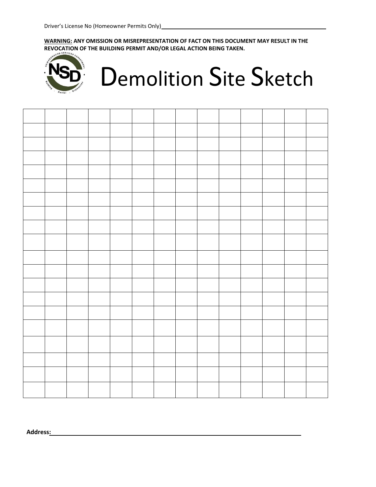**WARNING: ANY OMISSION OR MISREPRESENTATION OF FACT ON THIS DOCUMENT MAY RESULT IN THE REVOCATION OF THE BUILDING PERMIT AND/OR LEGAL ACTION BEING TAKEN.** 



## Demolition Site Sketch



**Address: .**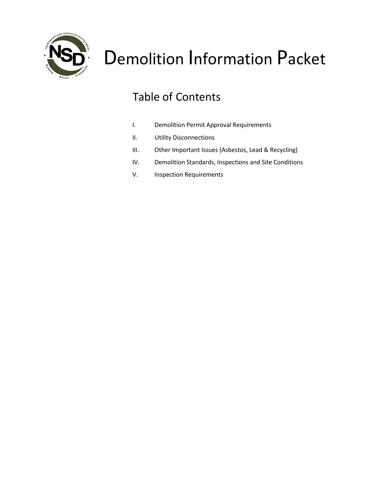

### Table of Contents

- I. Demolition Permit Approval Requirements
- II. Utility Disconnections
- III. Other Important Issues (Asbestos, Lead & Recycling)
- IV. Demolition Standards, Inspections and Site Conditions
- V. Inspection Requirements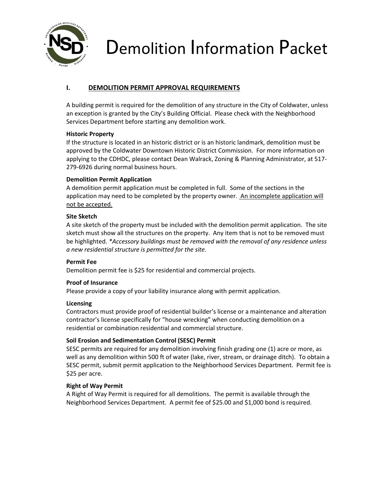

#### **I. DEMOLITION PERMIT APPROVAL REQUIREMENTS**

A building permit is required for the demolition of any structure in the City of Coldwater, unless an exception is granted by the City's Building Official. Please check with the Neighborhood Services Department before starting any demolition work.

#### **Historic Property**

If the structure is located in an historic district or is an historic landmark, demolition must be approved by the Coldwater Downtown Historic District Commission. For more information on applying to the CDHDC, please contact Dean Walrack, Zoning & Planning Administrator, at 517- 279-6926 during normal business hours.

#### **Demolition Permit Application**

A demolition permit application must be completed in full. Some of the sections in the application may need to be completed by the property owner. An incomplete application will not be accepted.

#### **Site Sketch**

A site sketch of the property must be included with the demolition permit application. The site sketch must show all the structures on the property. Any item that is not to be removed must be highlighted. *\*Accessory buildings must be removed with the removal of any residence unless a new residential structure is permitted for the site.*

#### **Permit Fee**

Demolition permit fee is \$25 for residential and commercial projects.

#### **Proof of Insurance**

Please provide a copy of your liability insurance along with permit application.

#### **Licensing**

Contractors must provide proof of residential builder's license or a maintenance and alteration contractor's license specifically for "house wrecking" when conducting demolition on a residential or combination residential and commercial structure.

#### **Soil Erosion and Sedimentation Control (SESC) Permit**

SESC permits are required for any demolition involving finish grading one (1) acre or more, as well as any demolition within 500 ft of water (lake, river, stream, or drainage ditch). To obtain a SESC permit, submit permit application to the Neighborhood Services Department. Permit fee is \$25 per acre.

#### **Right of Way Permit**

A Right of Way Permit is required for all demolitions. The permit is available through the Neighborhood Services Department. A permit fee of \$25.00 and \$1,000 bond is required.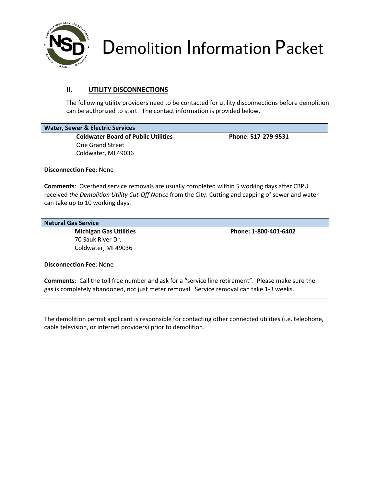

#### **II. UTILITY DISCONNECTIONS**

The following utility providers need to be contacted for utility disconnections before demolition can be authorized to start. The contact information is provided below.

#### **Water, Sewer & Electric Services**

Coldwater Board of Public Utilities Phone: 517-279-9531 One Grand Street Coldwater, MI 49036

**Disconnection Fee**: None

**Comments**: Overhead service removals are usually completed within 5 working days after CBPU received *the Demolition Utility Cut-Off Notice* from the City. Cutting and capping of sewer and water can take up to 10 working days.

#### **Natural Gas Service**

70 Sauk River Dr. Coldwater, MI 49036

 **Michigan Gas Utilities Phone: 1-800-401-6402**

**Disconnection Fee**: None

**Comments**: Call the toll free number and ask for a "service line retirement". Please make sure the gas is completely abandoned, not just meter removal. Service removal can take 1-3 weeks.

The demolition permit applicant is responsible for contacting other connected utilities (i.e. telephone, cable television, or internet providers) prior to demolition.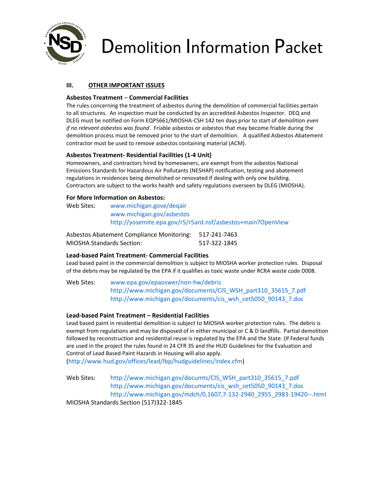

#### **III. OTHER IMPORTANT ISSUES**

#### **Asbestos Treatment** – **Commercial Facilities**

The rules concerning the treatment of asbestos during the demolition of commercial facilities pertain to all structures. An inspection must be conducted by an accredited Asbestos Inspector. DEQ and DLEG must be notified on Form EQP5661/MIOSHA-CSH 142 ten days prior to start of demolition *even if no relevant asbestos was found*. Friable asbestos or asbestos that may become friable during the demolition process must be removed prior to the start of demolition. A qualified Asbestos Abatement contractor must be used to remove asbestos containing material (ACM).

#### **Asbestos Treatment- Residential Facilities (1-4 Unit)**

Homeowners, and contractors hired by homeowners, are exempt from the asbestos National Emissions Standards for Hazardous Air Pollutants (NESHAP) notification, testing and abatement regulations in residences being demolished or renovated if dealing with only one building. Contractors are subject to the works health and safety regulations overseen by DLEG (MIOSHA).

#### **For More Information on Asbestos:**

| Web Sites: | www.michigan.gove/deqair                                    |
|------------|-------------------------------------------------------------|
|            | www.michigan.gov/asbestos                                   |
|            | http://yosemite.epa.gov/r5/r5ard.nsf/asbestos+main?OpenView |

| <b>Asbestos Abatement Compliance Monitoring:</b> | 517-241-7463 |
|--------------------------------------------------|--------------|
| <b>MIOSHA Standards Section:</b>                 | 517-322-1845 |

#### **Lead-based Paint Treatment- Commercial Facilities**

Lead based paint in the commercial demolition is subject to MIOSHA worker protection rules. Disposal of the debris may be regulated by the EPA if it qualifies as toxic waste under RCRA waste code D008.

Web Sites: [www.epa.gov/epaoswer/non-hw/debris](http://www.epa.gov/epaoswer/non-hw/debris) [http://www.michigan.gov/documents/CIS\\_WSH\\_part310\\_35615\\_7.pdf](http://www.michigan.gov/documents/CIS_WSH_part310_35615_7.pdf) [http://www.michigan.gov/documents/cis\\_wsh\\_cet5050\\_90143\\_7.doc](http://www.michigan.gov/documents/cis_wsh_cet5050_90143_7.doc)

#### **Lead-based Paint Treatment – Residential Facilities**

Lead based paint in residential demolition is subject to MIOSHA worker protection rules. The debris is exempt from regulations and may be disposed of in either municipal or C & D landfills. Partial demolition followed by reconstruction and residential reuse is regulated by the EPA and the State. (If Federal funds are used in the project the rules found in 24 CFR 35 and the HUD Guidelines for the Evaluation and Control of Lead Based Paint Hazards in Housing will also apply.

[\(http://www.hud.gov/offices/lead/lbp/hudguidelines/index.cfm\)](http://www.hud.gov/offices/lead/lbp/hudguidelines/index.cfm)

Web Sites: [http://www.michigan.gov/documts/CIS\\_WSH\\_part310\\_35615\\_7.pdf](http://www.michigan.gov/documts/CIS_WSH_part310_35615_7.pdf) [http://www.michigan.gov/documents/cis\\_wsh\\_cet5050\\_90143\\_7.doc](http://www.michigan.gov/documents/cis_wsh_cet5050_90143_7.doc) [http://www.michigan.gov/mdch/0,1607,7-132-2940\\_2955\\_2983-19420--.html](http://www.michigan.gov/mdch/0,1607,7-132-2940_2955_2983-19420--.html) MIOSHA Standards Section (517)322-1845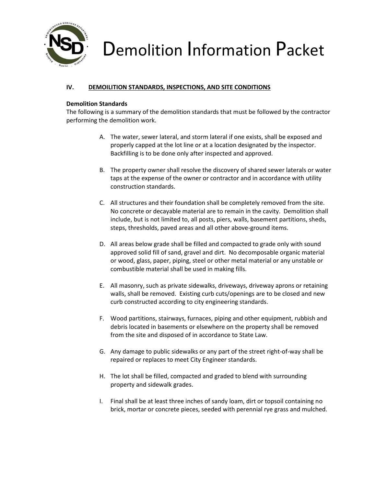

#### **IV. DEMOILITION STANDARDS, INSPECTIONS, AND SITE CONDITIONS**

#### **Demolition Standards**

The following is a summary of the demolition standards that must be followed by the contractor performing the demolition work.

- A. The water, sewer lateral, and storm lateral if one exists, shall be exposed and properly capped at the lot line or at a location designated by the inspector. Backfilling is to be done only after inspected and approved.
- B. The property owner shall resolve the discovery of shared sewer laterals or water taps at the expense of the owner or contractor and in accordance with utility construction standards.
- C. All structures and their foundation shall be completely removed from the site. No concrete or decayable material are to remain in the cavity. Demolition shall include, but is not limited to, all posts, piers, walls, basement partitions, sheds, steps, thresholds, paved areas and all other above-ground items.
- D. All areas below grade shall be filled and compacted to grade only with sound approved solid fill of sand, gravel and dirt. No decomposable organic material or wood, glass, paper, piping, steel or other metal material or any unstable or combustible material shall be used in making fills.
- E. All masonry, such as private sidewalks, driveways, driveway aprons or retaining walls, shall be removed. Existing curb cuts/openings are to be closed and new curb constructed according to city engineering standards.
- F. Wood partitions, stairways, furnaces, piping and other equipment, rubbish and debris located in basements or elsewhere on the property shall be removed from the site and disposed of in accordance to State Law.
- G. Any damage to public sidewalks or any part of the street right-of-way shall be repaired or replaces to meet City Engineer standards.
- H. The lot shall be filled, compacted and graded to blend with surrounding property and sidewalk grades.
- I. Final shall be at least three inches of sandy loam, dirt or topsoil containing no brick, mortar or concrete pieces, seeded with perennial rye grass and mulched.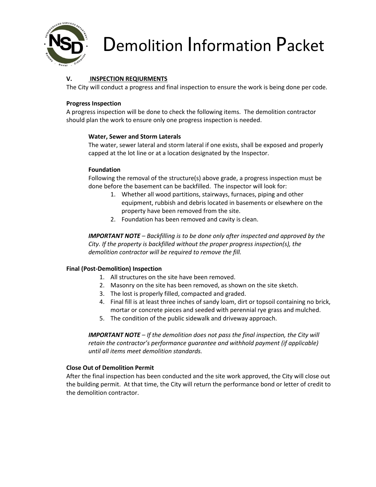

#### **V. INSPECTION REQIURMENTS**

The City will conduct a progress and final inspection to ensure the work is being done per code.

#### **Progress Inspection**

A progress inspection will be done to check the following items. The demolition contractor should plan the work to ensure only one progress inspection is needed.

#### **Water, Sewer and Storm Laterals**

The water, sewer lateral and storm lateral if one exists, shall be exposed and properly capped at the lot line or at a location designated by the Inspector.

#### **Foundation**

Following the removal of the structure(s) above grade, a progress inspection must be done before the basement can be backfilled. The inspector will look for:

- 1. Whether all wood partitions, stairways, furnaces, piping and other equipment, rubbish and debris located in basements or elsewhere on the property have been removed from the site.
- 2. Foundation has been removed and cavity is clean.

*IMPORTANT NOTE – Backfilling is to be done only after inspected and approved by the City. If the property is backfilled without the proper progress inspection(s), the demolition contractor will be required to remove the fill.* 

#### **Final (Post-Demolition) Inspection**

- 1. All structures on the site have been removed.
- 2. Masonry on the site has been removed, as shown on the site sketch.
- 3. The lost is properly filled, compacted and graded.
- 4. Final fill is at least three inches of sandy loam, dirt or topsoil containing no brick, mortar or concrete pieces and seeded with perennial rye grass and mulched.
- 5. The condition of the public sidewalk and driveway approach.

*IMPORTANT NOTE – If the demolition does not pass the final inspection, the City will retain the contractor's performance guarantee and withhold payment (if applicable) until all items meet demolition standards.* 

#### **Close Out of Demolition Permit**

After the final inspection has been conducted and the site work approved, the City will close out the building permit. At that time, the City will return the performance bond or letter of credit to the demolition contractor.